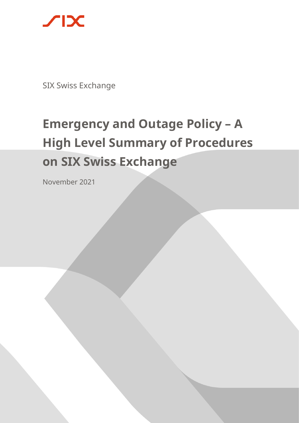

SIX Swiss Exchange

# **Emergency and Outage Policy - A High Level Summary of Procedures on SIX Swiss Exchange**

November 2021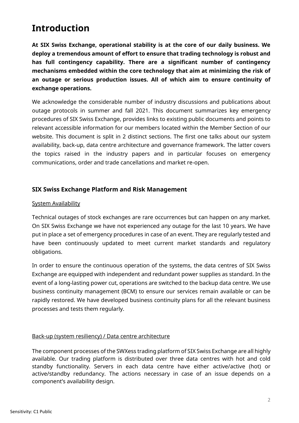# **Introduction**

**At SIX Swiss Exchange, operational stability is at the core of our daily business. We deploy a tremendous amount of effort to ensure that trading technology is robust and has full contingency capability. There are a significant number of contingency mechanisms embedded within the core technology that aim at minimizing the risk of an outage or serious production issues. All of which aim to ensure continuity of exchange operations.**

We acknowledge the considerable number of industry discussions and publications about outage protocols in summer and fall 2021. This document summarizes key emergency procedures of SIX Swiss Exchange, provides links to existing public documents and points to relevant accessible information for our members located within the Member Section of our website. This document is split in 2 distinct sections. The first one talks about our system availability, back-up, data centre architecture and governance framework. The latter covers the topics raised in the industry papers and in particular focuses on emergency communications, order and trade cancellations and market re-open.

# **SIX Swiss Exchange Platform and Risk Management**

#### System Availability

Technical outages of stock exchanges are rare occurrences but can happen on any market. On SIX Swiss Exchange we have not experienced any outage for the last 10 years. We have put in place a set of emergency procedures in case of an event. They are regularly tested and have been continuously updated to meet current market standards and regulatory obligations.

In order to ensure the continuous operation of the systems, the data centres of SIX Swiss Exchange are equipped with independent and redundant power supplies as standard. In the event of a long-lasting power cut, operations are switched to the backup data centre. We use business continuity management (BCM) to ensure our services remain available or can be rapidly restored. We have developed business continuity plans for all the relevant business processes and tests them regularly.

#### Back-up (system resiliency) / Data centre architecture

The component processes of the SWXess trading platform of SIX Swiss Exchange are all highly available. Our trading platform is distributed over three data centres with hot and cold standby functionality. Servers in each data centre have either active/active (hot) or active/standby redundancy. The actions necessary in case of an issue depends on a component's availability design.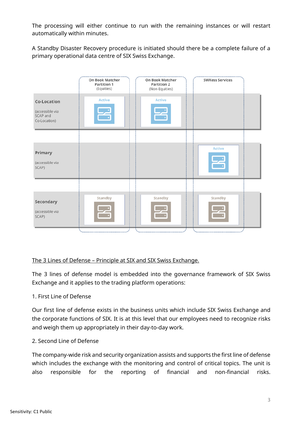The processing will either continue to run with the remaining instances or will restart automatically within minutes.

A Standby Disaster Recovery procedure is initiated should there be a complete failure of a primary operational data centre of SIX Swiss Exchange.

|                                                            | On Book Matcher<br><b>Partition 1</b><br>(Equities) | On Book Matcher<br><b>Partition 2</b><br>(Non-Equities) | <br><b>SWXess Services</b> |
|------------------------------------------------------------|-----------------------------------------------------|---------------------------------------------------------|----------------------------|
| Co-Location<br>(accessible via<br>SCAP and<br>Co-Location) | Active                                              | <b>Active</b>                                           |                            |
|                                                            |                                                     |                                                         |                            |
| Primary<br>(accessible via<br>SCAP)                        |                                                     |                                                         | Active                     |
|                                                            |                                                     |                                                         |                            |
| Secondary<br>(accessible via<br>SCAP)                      | Standby                                             | Standby                                                 | Standby                    |
|                                                            |                                                     |                                                         |                            |

#### The 3 Lines of Defense – Principle at SIX and SIX Swiss Exchange.

The 3 lines of defense model is embedded into the governance framework of SIX Swiss Exchange and it applies to the trading platform operations:

#### 1. First Line of Defense

Our first line of defense exists in the business units which include SIX Swiss Exchange and the corporate functions of SIX. It is at this level that our employees need to recognize risks and weigh them up appropriately in their day-to-day work.

#### 2. Second Line of Defense

The company-wide risk and security organization assists and supports the first line of defense which includes the exchange with the monitoring and control of critical topics. The unit is also responsible for the reporting of financial and non-financial risks.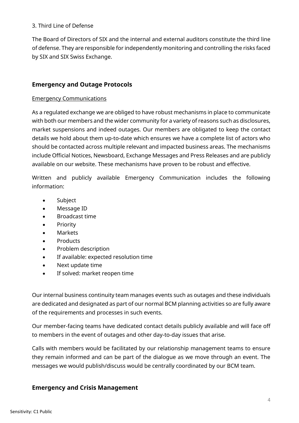#### 3. Third Line of Defense

The Board of Directors of SIX and the internal and external auditors constitute the third line of defense. They are responsible for independently monitoring and controlling the risks faced by SIX and SIX Swiss Exchange.

## **Emergency and Outage Protocols**

#### Emergency Communications

As a regulated exchange we are obliged to have robust mechanisms in place to communicate with both our members and the wider community for a variety of reasons such as disclosures, market suspensions and indeed outages. Our members are obligated to keep the contact details we hold about them up-to-date which ensures we have a complete list of actors who should be contacted across multiple relevant and impacted business areas. The mechanisms include Official Notices, Newsboard, Exchange Messages and Press Releases and are publicly available on our website. These mechanisms have proven to be robust and effective.

Written and publicly available Emergency Communication includes the following information:

- **Subject**
- Message ID
- Broadcast time
- Priority
- Markets
- **Products**
- Problem description
- If available: expected resolution time
- Next update time
- If solved: market reopen time

Our internal business continuity team manages events such as outages and these individuals are dedicated and designated as part of our normal BCM planning activities so are fully aware of the requirements and processes in such events.

Our member-facing teams have dedicated contact details publicly available and will face off to members in the event of outages and other day-to-day issues that arise.

Calls with members would be facilitated by our relationship management teams to ensure they remain informed and can be part of the dialogue as we move through an event. The messages we would publish/discuss would be centrally coordinated by our BCM team.

# **Emergency and Crisis Management**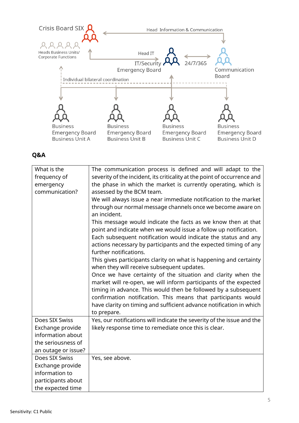

## **Q&A**

| What is the<br>frequency of<br>emergency<br>communication? | The communication process is defined and will adapt to the<br>severity of the incident, its criticality at the point of occurrence and<br>the phase in which the market is currently operating, which is<br>assessed by the BCM team.<br>We will always issue a near immediate notification to the market<br>through our normal message channels once we become aware on<br>an incident.<br>This message would indicate the facts as we know then at that<br>point and indicate when we would issue a follow up notification.<br>Each subsequent notification would indicate the status and any<br>actions necessary by participants and the expected timing of any<br>further notifications.<br>This gives participants clarity on what is happening and certainty<br>when they will receive subsequent updates.<br>Once we have certainty of the situation and clarity when the<br>market will re-open, we will inform participants of the expected<br>timing in advance. This would then be followed by a subsequent<br>confirmation notification. This means that participants would<br>have clarity on timing and sufficient advance notification in which<br>to prepare. |
|------------------------------------------------------------|--------------------------------------------------------------------------------------------------------------------------------------------------------------------------------------------------------------------------------------------------------------------------------------------------------------------------------------------------------------------------------------------------------------------------------------------------------------------------------------------------------------------------------------------------------------------------------------------------------------------------------------------------------------------------------------------------------------------------------------------------------------------------------------------------------------------------------------------------------------------------------------------------------------------------------------------------------------------------------------------------------------------------------------------------------------------------------------------------------------------------------------------------------------------------------|
| Does SIX Swiss                                             | Yes, our notifications will indicate the severity of the issue and the                                                                                                                                                                                                                                                                                                                                                                                                                                                                                                                                                                                                                                                                                                                                                                                                                                                                                                                                                                                                                                                                                                         |
| Exchange provide                                           | likely response time to remediate once this is clear.                                                                                                                                                                                                                                                                                                                                                                                                                                                                                                                                                                                                                                                                                                                                                                                                                                                                                                                                                                                                                                                                                                                          |
| information about                                          |                                                                                                                                                                                                                                                                                                                                                                                                                                                                                                                                                                                                                                                                                                                                                                                                                                                                                                                                                                                                                                                                                                                                                                                |
| the seriousness of                                         |                                                                                                                                                                                                                                                                                                                                                                                                                                                                                                                                                                                                                                                                                                                                                                                                                                                                                                                                                                                                                                                                                                                                                                                |
| an outage or issue?                                        |                                                                                                                                                                                                                                                                                                                                                                                                                                                                                                                                                                                                                                                                                                                                                                                                                                                                                                                                                                                                                                                                                                                                                                                |
| Does SIX Swiss                                             | Yes, see above.                                                                                                                                                                                                                                                                                                                                                                                                                                                                                                                                                                                                                                                                                                                                                                                                                                                                                                                                                                                                                                                                                                                                                                |
| Exchange provide                                           |                                                                                                                                                                                                                                                                                                                                                                                                                                                                                                                                                                                                                                                                                                                                                                                                                                                                                                                                                                                                                                                                                                                                                                                |
| information to                                             |                                                                                                                                                                                                                                                                                                                                                                                                                                                                                                                                                                                                                                                                                                                                                                                                                                                                                                                                                                                                                                                                                                                                                                                |
| participants about                                         |                                                                                                                                                                                                                                                                                                                                                                                                                                                                                                                                                                                                                                                                                                                                                                                                                                                                                                                                                                                                                                                                                                                                                                                |
| the expected time                                          |                                                                                                                                                                                                                                                                                                                                                                                                                                                                                                                                                                                                                                                                                                                                                                                                                                                                                                                                                                                                                                                                                                                                                                                |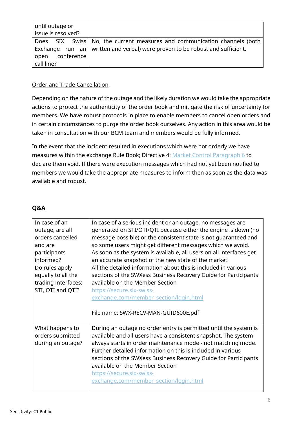| until outage or    |                                                                              |
|--------------------|------------------------------------------------------------------------------|
| issue is resolved? |                                                                              |
|                    | Does SIX Swiss   No, the current measures and communication channels (both   |
|                    | Exchange run an written and verbal) were proven to be robust and sufficient. |
| open conference    |                                                                              |
| call line?         |                                                                              |

#### Order and Trade Cancellation

Depending on the nature of the outage and the likely duration we would take the appropriate actions to protect the authenticity of the order book and mitigate the risk of uncertainty for members. We have robust protocols in place to enable members to cancel open orders and in certain circumstances to purge the order book ourselves. Any action in this area would be taken in consultation with our BCM team and members would be fully informed.

In the event that the incident resulted in executions which were not orderly we have measures within the exchange Rule Book; Directive 4: [Market Control](https://www.ser-ag.com/dam/downloads/regulation/trading/directives/DIR04-en.pdf) Paragraph 6 to declare them void. If there were execution messages which had not yet been notified to members we would take the appropriate measures to inform then as soon as the data was available and robust.

# **Q&A**

| In case of an       | In case of a serious incident or an outage, no messages are         |
|---------------------|---------------------------------------------------------------------|
| outage, are all     | generated on STI/OTI/QTI because either the engine is down (no      |
| orders cancelled    | message possible) or the consistent state is not guaranteed and     |
| and are             | so some users might get different messages which we avoid.          |
| participants        | As soon as the system is available, all users on all interfaces get |
| informed?           | an accurate snapshot of the new state of the market.                |
| Do rules apply      | All the detailed information about this is included in various      |
| equally to all the  | sections of the SWXess Business Recovery Guide for Participants     |
| trading interfaces: | available on the Member Section                                     |
| STI, OTI and QTI?   | https://secure.six-swiss-                                           |
|                     | exchange.com/member_section/login.html                              |
|                     |                                                                     |
|                     |                                                                     |
|                     | File name: SWX-RECV-MAN-GUID600E.pdf                                |
|                     |                                                                     |
| What happens to     | During an outage no order entry is permitted until the system is    |
| orders submitted    | available and all users have a consistent snapshot. The system      |
| during an outage?   | always starts in order maintenance mode - not matching mode.        |
|                     | Further detailed information on this is included in various         |
|                     | sections of the SWXess Business Recovery Guide for Participants     |
|                     | available on the Member Section                                     |
|                     | https://secure.six-swiss-                                           |
|                     | exchange.com/member_section/login.html                              |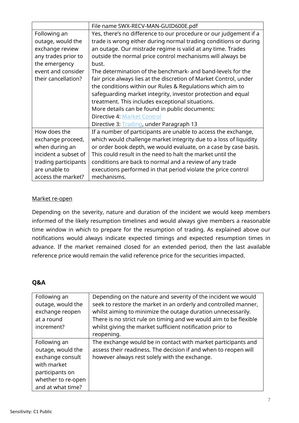|                      | File name SWX-RECV-MAN-GUID600E.pdf                               |
|----------------------|-------------------------------------------------------------------|
| Following an         | Yes, there's no difference to our procedure or our judgement if a |
| outage, would the    | trade is wrong either during normal trading conditions or during  |
| exchange review      | an outage. Our mistrade regime is valid at any time. Trades       |
| any trades prior to  | outside the normal price control mechanisms will always be        |
| the emergency        | bust.                                                             |
| event and consider   | The determination of the benchmark- and band-levels for the       |
| their cancellation?  | fair price always lies at the discretion of Market Control, under |
|                      | the conditions within our Rules & Regulations which aim to        |
|                      | safeguarding market integrity, investor protection and equal      |
|                      | treatment. This includes exceptional situations.                  |
|                      | More details can be found in public documents:                    |
|                      | <b>Directive 4: Market Control</b>                                |
|                      | Directive 3: Trading, under Paragraph 13                          |
| How does the         | If a number of participants are unable to access the exchange,    |
| exchange proceed,    | which would challenge market integrity due to a loss of liquidity |
| when during an       | or order book depth, we would evaluate, on a case by case basis.  |
| incident a subset of | This could result in the need to halt the market until the        |
| trading participants | conditions are back to normal and a review of any trade           |
| are unable to        | executions performed in that period violate the price control     |
| access the market?   | mechanisms.                                                       |

#### Market re-open

Depending on the severity, nature and duration of the incident we would keep members informed of the likely resumption timelines and would always give members a reasonable time window in which to prepare for the resumption of trading. As explained above our notifications would always indicate expected timings and expected resumption times in advance. If the market remained closed for an extended period, then the last available reference price would remain the valid reference price for the securities impacted.

#### **Q&A**

| Following an<br>outage, would the<br>exchange reopen<br>at a round<br>increment?                                                   | Depending on the nature and severity of the incident we would<br>seek to restore the market in an orderly and controlled manner,<br>whilst aiming to minimize the outage duration unnecessarily.<br>There is no strict rule on timing and we would aim to be flexible<br>whilst giving the market sufficient notification prior to<br>reopening. |
|------------------------------------------------------------------------------------------------------------------------------------|--------------------------------------------------------------------------------------------------------------------------------------------------------------------------------------------------------------------------------------------------------------------------------------------------------------------------------------------------|
| Following an<br>outage, would the<br>exchange consult<br>with market<br>participants on<br>whether to re-open<br>and at what time? | The exchange would be in contact with market participants and<br>assess their readiness. The decision if and when to reopen will<br>however always rest solely with the exchange.                                                                                                                                                                |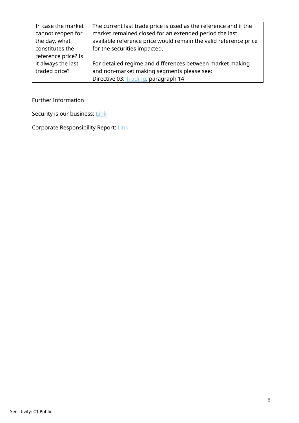| In case the market  | The current last trade price is used as the reference and if the |
|---------------------|------------------------------------------------------------------|
| cannot reopen for   | market remained closed for an extended period the last           |
| the day, what       | available reference price would remain the valid reference price |
| constitutes the     | for the securities impacted.                                     |
| reference price? Is |                                                                  |
| it always the last  | For detailed regime and differences between market making        |
| traded price?       | and non-market making segments please see:                       |
|                     | Directive 03: Trading, paragraph 14                              |

Further Information

Security is our business: [Link](https://www.six-group.com/dam/download/cyber-security/six-corporate-security-brochure-en.pdf)

Corporate Responsibility Report: [Link](https://www.six-group.com/dam/download/company/report/gri/SIX_cr_report2018_en_web.pdf)